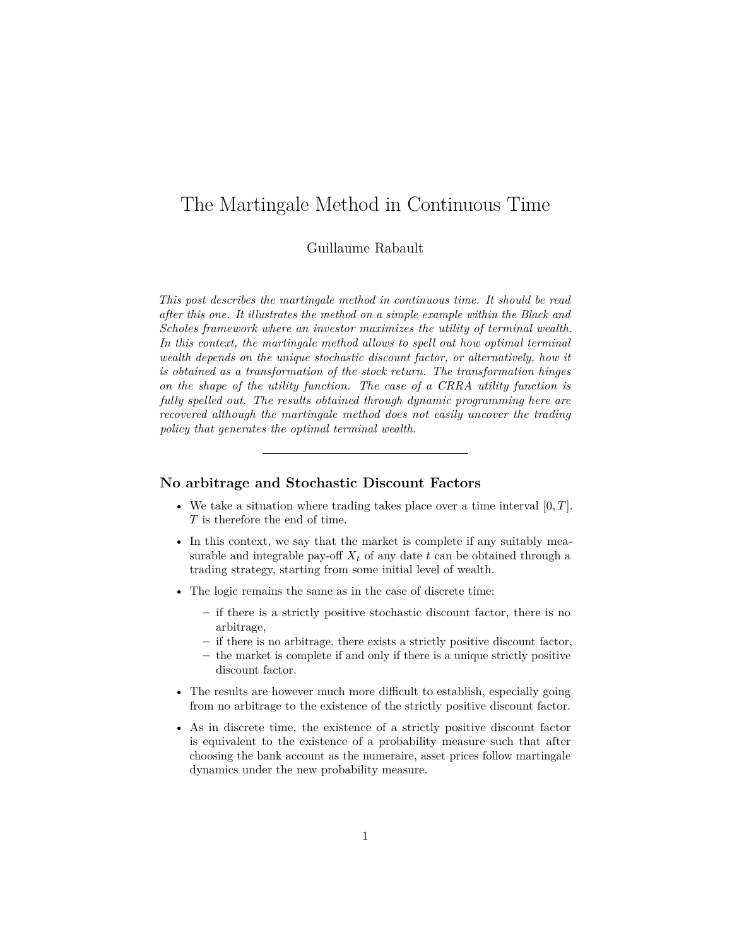# <span id="page-0-0"></span>The Martingale Method in Continuous Time

## Guillaume Rabault

*This post describes the martingale method in continuous time. It should be read after [this one.](/ensae/2015/11/14/complete-dyn.html) It illustrates the method on a simple example within the Black and Scholes framework where an investor maximizes the utility of terminal wealth. In this context, the martingale method allows to spell out how optimal terminal* wealth depends on the unique stochastic discount factor, or alternatively, how it *is obtained as a transformation of the stock return. The transformation hinges on the shape of the utility function. The case of a CRRA utility function is fully spelled out. The results obtained through dynamic programming [here](/ensae/2014/10/27/cont.html) are recovered although the martingale method does not easily uncover the trading policy that generates the optimal terminal wealth.*

### **No arbitrage and Stochastic Discount Factors**

- We take a situation where trading takes place over a time interval [0*, T*]. *T* is therefore the end of time.
- In this context, we say that the market is complete if any suitably measurable and integrable pay-off  $X_t$  of any date  $t$  can be obtained through a trading strategy, starting from some initial level of wealth.
- The logic remains the same as in the case of discrete time:
	- **–** if there is a strictly positive stochastic discount factor, there is no arbitrage,
	- **–** if there is no arbitrage, there exists a strictly positive discount factor,
	- **–** the market is complete if and only if there is a unique strictly positive discount factor.
- The results are however much more difficult to establish, especially going from no arbitrage to the existence of the strictly positive discount factor.
- As in discrete time, the existence of a strictly positive discount factor is equivalent to the existence of a probability measure such that after choosing the bank account as the numeraire, asset prices follow martingale dynamics under the new probability measure.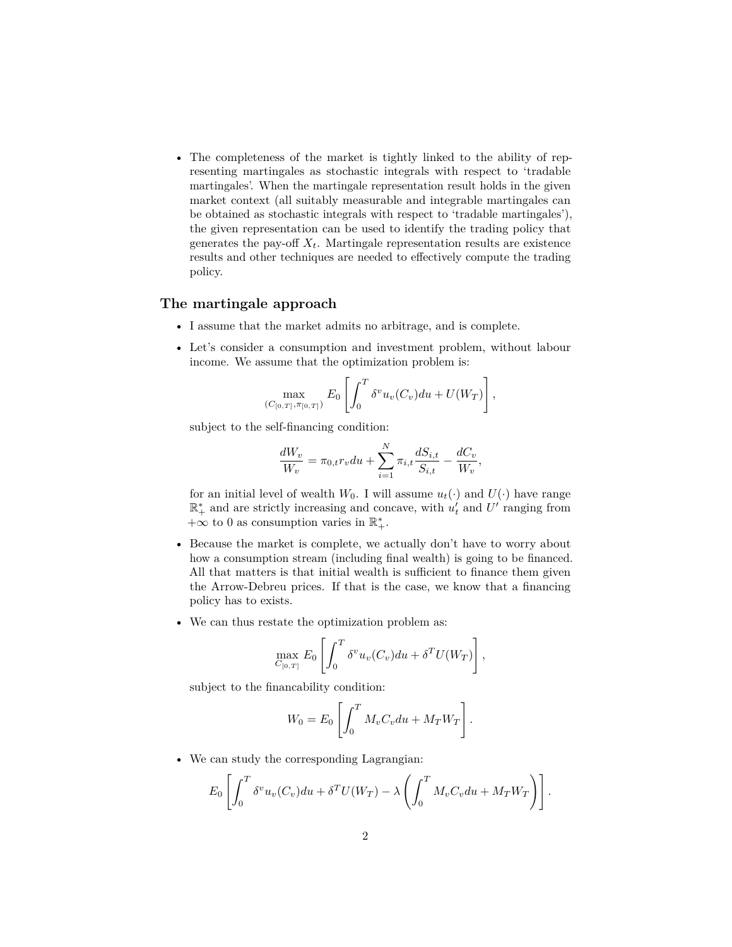• The completeness of the market is tightly linked to the ability of representing martingales as stochastic integrals with respect to 'tradable martingales'. When the martingale representation result holds in the given market context (all suitably measurable and integrable martingales can be obtained as stochastic integrals with respect to 'tradable martingales'), the given representation can be used to identify the trading policy that generates the pay-off  $X_t$ . Martingale representation results are existence results and other techniques are needed to effectively compute the trading policy.

# **The martingale approach**

- I assume that the market admits no arbitrage, and is complete.
- Let's consider a consumption and investment problem, without labour income. We assume that the optimization problem is:

$$
\max_{(C_{[0,T]}, \pi_{[0,T]})} E_0 \left[ \int_0^T \delta^v u_v(C_v) du + U(W_T) \right],
$$

subject to the self-financing condition:

$$
\frac{dW_v}{W_v} = \pi_{0,t} r_v du + \sum_{i=1}^{N} \pi_{i,t} \frac{dS_{i,t}}{S_{i,t}} - \frac{dC_v}{W_v},
$$

for an initial level of wealth  $W_0$ . I will assume  $u_t(\cdot)$  and  $U(\cdot)$  have range  $\mathbb{R}^*_+$  and are strictly increasing and concave, with  $u'_t$  and  $U'$  ranging from  $+\infty$  to 0 as consumption varies in  $\mathbb{R}^*_+$ .

- Because the market is complete, we actually don't have to worry about how a consumption stream (including final wealth) is going to be financed. All that matters is that initial wealth is sufficient to finance them given the Arrow-Debreu prices. If that is the case, we know that a financing policy has to exists.
- We can thus restate the optimization problem as:

$$
\max_{C_{[0,T]}} E_0 \left[ \int_0^T \delta^v u_v(C_v) du + \delta^T U(W_T) \right],
$$

subject to the financability condition:

$$
W_0 = E_0 \left[ \int_0^T M_v C_v du + M_T W_T \right].
$$

• We can study the corresponding Lagrangian:

$$
E_0 \left[ \int_0^T \delta^v u_v(C_v) du + \delta^T U(W_T) - \lambda \left( \int_0^T M_v C_v du + M_T W_T \right) \right].
$$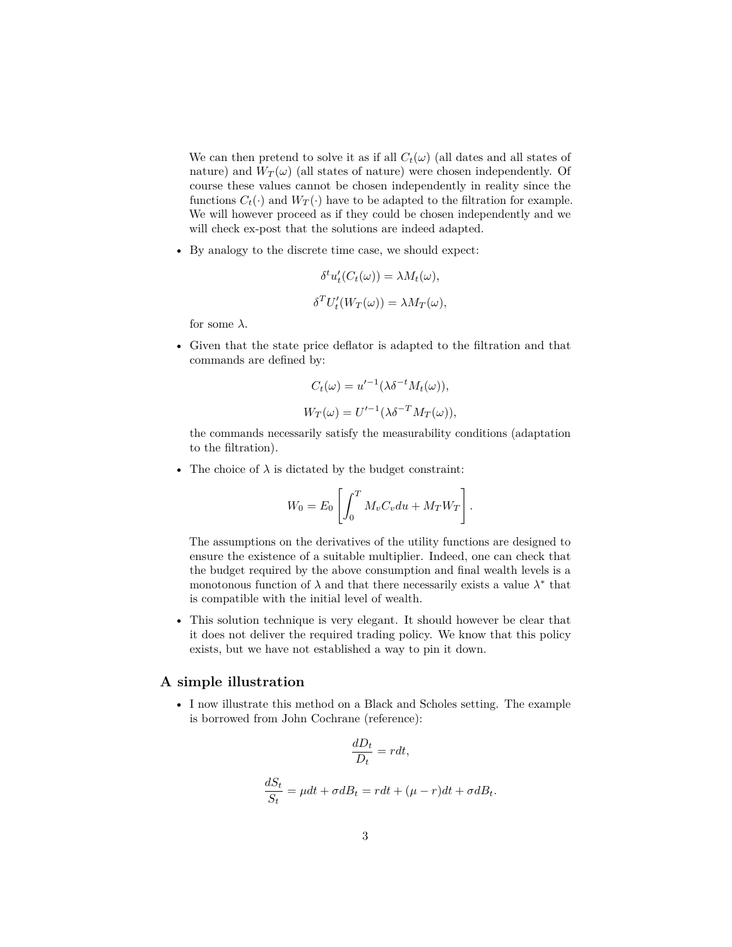We can then pretend to solve it as if all  $C_t(\omega)$  (all dates and all states of nature) and  $W_T(\omega)$  (all states of nature) were chosen independently. Of course these values cannot be chosen independently in reality since the functions  $C_t(\cdot)$  and  $W_T(\cdot)$  have to be adapted to the filtration for example. We will however proceed as if they could be chosen independently and we will check ex-post that the solutions are indeed adapted.

• By analogy to the discrete time case, we should expect:

$$
\delta^t u'_t(C_t(\omega)) = \lambda M_t(\omega),
$$
  

$$
\delta^T U'_t(W_T(\omega)) = \lambda M_T(\omega),
$$

for some  $\lambda$ .

• Given that the state price deflator is adapted to the filtration and that commands are defined by:

$$
C_t(\omega) = u'^{-1}(\lambda \delta^{-t} M_t(\omega)),
$$
  

$$
W_T(\omega) = U'^{-1}(\lambda \delta^{-T} M_T(\omega)),
$$

the commands necessarily satisfy the measurability conditions (adaptation to the filtration).

• The choice of  $\lambda$  is dictated by the budget constraint:

$$
W_0 = E_0 \left[ \int_0^T M_v C_v du + M_T W_T \right].
$$

The assumptions on the derivatives of the utility functions are designed to ensure the existence of a suitable multiplier. Indeed, one can check that the budget required by the above consumption and final wealth levels is a monotonous function of  $\lambda$  and that there necessarily exists a value  $\lambda^*$  that is compatible with the initial level of wealth.

• This solution technique is very elegant. It should however be clear that it does not deliver the required trading policy. We know that this policy exists, but we have not established a way to pin it down.

### **A simple illustration**

• I now illustrate this method on a Black and Scholes setting. The example is borrowed from John Cochrane (reference):

$$
\frac{dD_t}{D_t} = rdt,
$$

$$
\frac{dS_t}{S_t} = \mu dt + \sigma dB_t = rdt + (\mu - r)dt + \sigma dB_t.
$$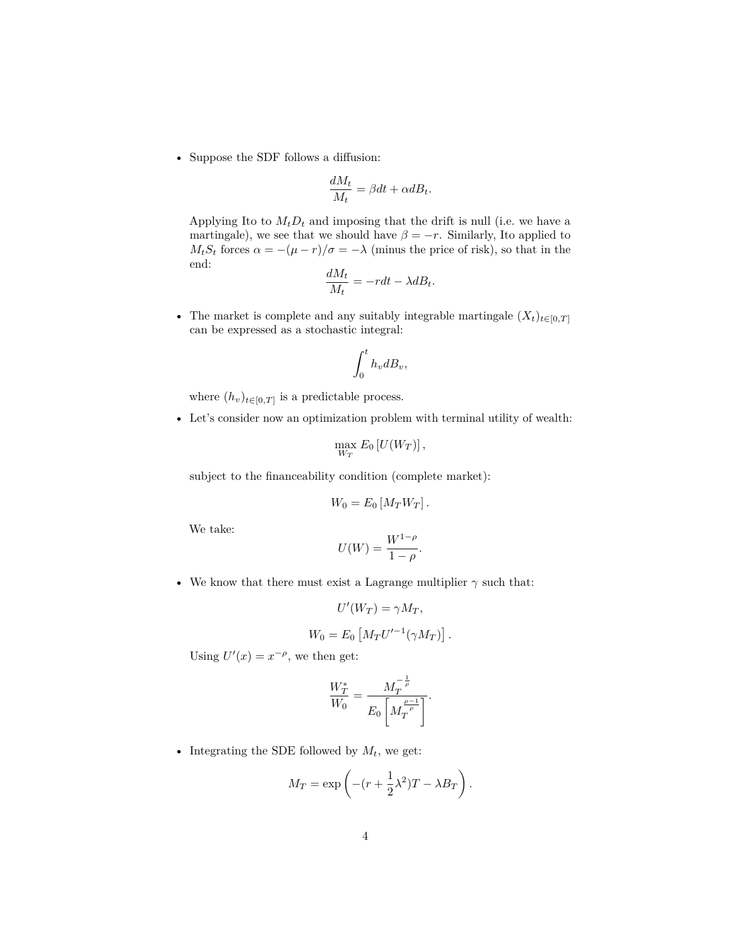• Suppose the SDF follows a diffusion:

$$
\frac{dM_t}{M_t} = \beta dt + \alpha dB_t.
$$

Applying Ito to  $M_t D_t$  and imposing that the drift is null (i.e. we have a martingale), we see that we should have  $\beta = -r$ . Similarly, Ito applied to  $M_t S_t$  forces  $\alpha = -(\mu - r)/\sigma = -\lambda$  (minus the price of risk), so that in the end:  $\overline{\mathbf{u}}$ 

$$
\frac{dM_t}{M_t} = -rdt - \lambda dB_t.
$$

• The market is complete and any suitably integrable martingale  $(X_t)_{t \in [0,T]}$ can be expressed as a stochastic integral:

$$
\int_0^t h_v dB_v,
$$

where  $(h_v)_{t \in [0,T]}$  is a predictable process.

• Let's consider now an optimization problem with terminal utility of wealth:

$$
\max_{W_T} E_0[U(W_T)],
$$

subject to the financeability condition (complete market):

$$
W_0 = E_0 \left[ M_T W_T \right].
$$

We take:

$$
U(W) = \frac{W^{1-\rho}}{1-\rho}.
$$

• We know that there must exist a Lagrange multiplier  $\gamma$  such that:

 $\overline{\phantom{a}}$ 

$$
U'(W_T) = \gamma M_T,
$$
  

$$
W_0 = E_0 \left[ M_T U'^{-1} (\gamma M_T) \right].
$$

Using  $U'(x) = x^{-\rho}$ , we then get:

$$
\frac{W_T^*}{W_0} = \frac{M_T^{-\frac{1}{\rho}}}{E_0\left[M_T^{\frac{\rho-1}{\rho}}\right]}.
$$

• Integrating the SDE followed by  $M_t$ , we get:

$$
M_T = \exp\left(-(r + \frac{1}{2}\lambda^2)T - \lambda B_T\right).
$$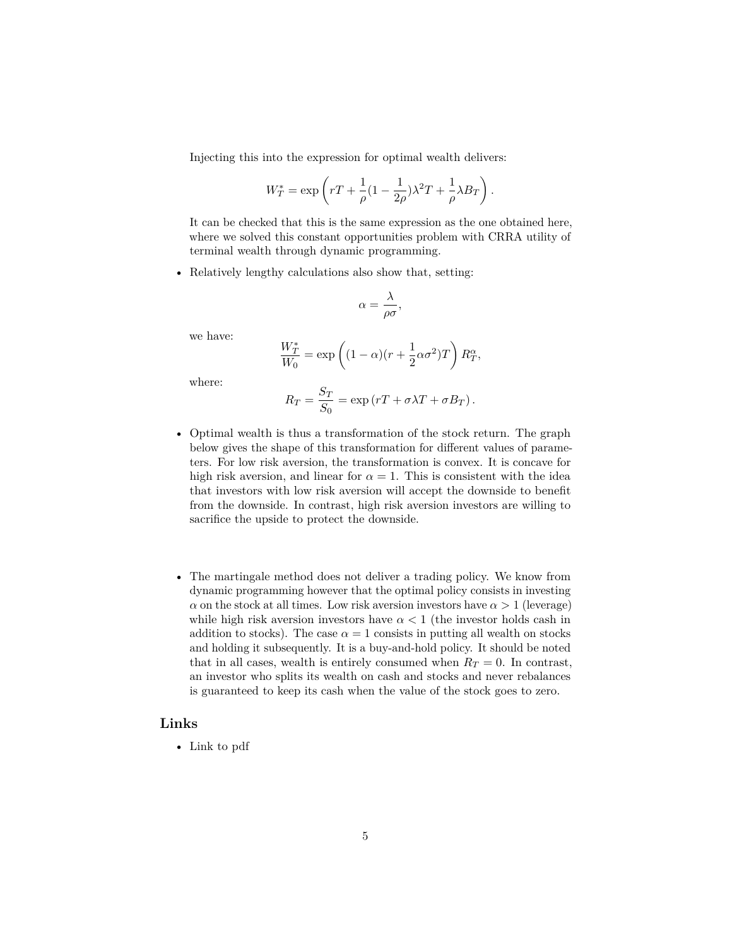Injecting this into the expression for optimal wealth delivers:

$$
W_T^* = \exp\left(rT + \frac{1}{\rho}(1 - \frac{1}{2\rho})\lambda^2 T + \frac{1}{\rho}\lambda B_T\right).
$$

It can be checked that this is the same expression as the one obtained [here,](/ensae/2014/10/27/cont.html) where we solved this constant opportunities problem with CRRA utility of terminal wealth through dynamic programming.

• Relatively lengthy calculations also show that, setting:

$$
\alpha = \frac{\lambda}{\rho \sigma},
$$

we have:

$$
\frac{W_T^*}{W_0} = \exp\left((1-\alpha)(r+\frac{1}{2}\alpha\sigma^2)T\right)R_T^{\alpha},\,
$$

where:

$$
R_T = \frac{S_T}{S_0} = \exp(rT + \sigma\lambda T + \sigma B_T).
$$

- Optimal wealth is thus a transformation of the stock return. The graph below gives the shape of this transformation for different values of parameters. For low risk aversion, the transformation is convex. It is concave for high risk aversion, and linear for  $\alpha = 1$ . This is consistent with the idea that investors with low risk aversion will accept the downside to benefit from the downside. In contrast, high risk aversion investors are willing to sacrifice the upside to protect the downside.
- The martingale method does not deliver a trading policy. We know from dynamic programming however that the optimal policy consists in investing *α* on the stock at all times. Low risk aversion investors have  $\alpha > 1$  (leverage) while high risk aversion investors have  $\alpha < 1$  (the investor holds cash in addition to stocks). The case  $\alpha = 1$  consists in putting all wealth on stocks and holding it subsequently. It is a buy-and-hold policy. It should be noted that in all cases, wealth is entirely consumed when  $R_T = 0$ . In contrast, an investor who splits its wealth on cash and stocks and never rebalances is guaranteed to keep its cash when the value of the stock goes to zero.

## **Links**

• [Link to pdf](#page-0-0)